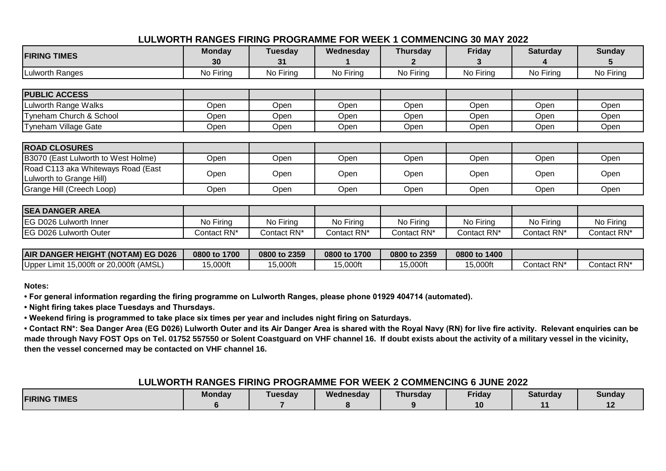## **LULWORTH RANGES FIRING PROGRAMME FOR WEEK 1 COMMENCING 30 MAY 2022**

| <b>FIRING TIMES</b>                 | <b>Monday</b> | Tuesday     | Wednesday   | <b>Thursday</b> | <b>Friday</b>           | <b>Saturday</b>         | <b>Sunday</b> |
|-------------------------------------|---------------|-------------|-------------|-----------------|-------------------------|-------------------------|---------------|
|                                     | 30            | 31          |             | $\mathbf{z}$    | З                       |                         | C.            |
| <b>Lulworth Ranges</b>              | No Firing     | No Firing   | No Firing   | No Firing       | No Firing               | No Firing               | No Firing     |
|                                     |               |             |             |                 |                         |                         |               |
| <b>PUBLIC ACCESS</b>                |               |             |             |                 |                         |                         |               |
| Lulworth Range Walks                | Open          | Open        | Open        | Open            | Open                    | Open                    | Open          |
| Tyneham Church & School             | Open          | Open        | Open        | Open            | Open                    | Open                    | Open          |
| <b>Tyneham Village Gate</b>         | Open          | Open        | Open        | Open            | Open                    | Open                    | Open          |
|                                     |               |             |             |                 |                         |                         |               |
| <b>ROAD CLOSURES</b>                |               |             |             |                 |                         |                         |               |
| B3070 (East Lulworth to West Holme) | Open          | Open        | Open        | Open            | Open                    | Open                    | Open          |
| Road C113 aka Whiteways Road (East  | Open          | Open        | Open        | Open            | Open                    | Open                    | Open          |
| Lulworth to Grange Hill)            |               |             |             |                 |                         |                         |               |
| Grange Hill (Creech Loop)           | Open          | Open        | Open        | Open            | Open                    | Open                    | Open          |
|                                     |               |             |             |                 |                         |                         |               |
| <b>SEA DANGER AREA</b>              |               |             |             |                 |                         |                         |               |
| <b>IEG D026 Lulworth Inner</b>      | No Firing     | No Firing   | No Firing   | No Firing       | No Firing               | No Firing               | No Firing     |
| <b>IEG D026 Lulworth Outer</b>      | Contact RN*   | Contact RN* | Contact RN* | Contact RN*     | Contact RN <sup>*</sup> | Contact RN <sup>*</sup> | Contact RN*   |

| <b>AIR DANGER HEIGHT (NOTAM) EG D026</b>        | 1700<br>0800 to | 0800 to 2359 | 0800 to 1700 | 0800 to 2359 | 0800 to 1400 |             |                         |
|-------------------------------------------------|-----------------|--------------|--------------|--------------|--------------|-------------|-------------------------|
| 15,000ft or 20,000ft (AMSL)<br>Upper<br>Limit : | 5,000ft         | 15,000ft     | 15,000ft     | 15,000ft     | 15,000ft     | Contact RN* | Contact RN <sup>*</sup> |

**Notes:**

**• For general information regarding the firing programme on Lulworth Ranges, please phone 01929 404714 (automated).**

**• Night firing takes place Tuesdays and Thursdays.**

**• Weekend firing is programmed to take place six times per year and includes night firing on Saturdays.**

**• Contact RN\*: Sea Danger Area (EG D026) Lulworth Outer and its Air Danger Area is shared with the Royal Navy (RN) for live fire activity. Relevant enquiries can be made through Navy FOST Ops on Tel. 01752 557550 or Solent Coastguard on VHF channel 16. If doubt exists about the activity of a military vessel in the vicinity, then the vessel concerned may be contacted on VHF channel 16.**

# **LULWORTH RANGES FIRING PROGRAMME FOR WEEK 2 COMMENCING 6 JUNE 2022**

| <b>FIRING TIMES</b> | <b>Monday</b> | <b>Tuesday</b> | Wednesday | Thursdav | Friday | Saturdav | <b>Sunday</b> |
|---------------------|---------------|----------------|-----------|----------|--------|----------|---------------|
|                     |               |                |           |          | 10     |          | . .           |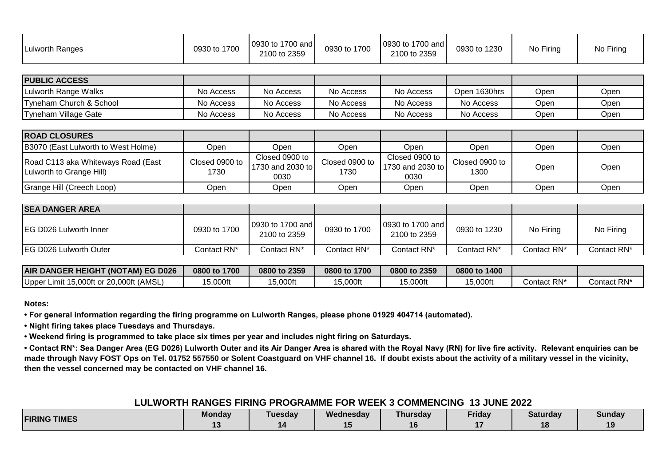| Lulworth Ranges | 0930 to 1700 | 0930 to 1700 and<br>2100 to 2359 | 0930 to 1700 | 0930 to 1700 and<br>2100 to 2359 | 0930 to 1230 | No Firing | No Firing |
|-----------------|--------------|----------------------------------|--------------|----------------------------------|--------------|-----------|-----------|
|-----------------|--------------|----------------------------------|--------------|----------------------------------|--------------|-----------|-----------|

| <b>IPUBLIC ACCESS</b>   |           |           |           |           |              |      |      |
|-------------------------|-----------|-----------|-----------|-----------|--------------|------|------|
| Lulworth Range Walks    | No Access | No Access | No Access | No Access | Open 1630hrs | Open | Open |
| Tyneham Church & School | No Access | No Access | No Access | No Access | No Access    | Open | Open |
| Tyneham Village Gate    | No Access | No Access | No Access | No Access | No Access    | Open | Open |

| <b>ROAD CLOSURES</b>                                           |                        |                                            |                        |                                               |                        |      |      |
|----------------------------------------------------------------|------------------------|--------------------------------------------|------------------------|-----------------------------------------------|------------------------|------|------|
| B3070 (East Lulworth to West Holme)                            | Jpen                   | Dpen                                       | Open                   | Open                                          | Open                   | Open | Open |
| Road C113 aka Whiteways Road (East<br>Lulworth to Grange Hill) | Closed 0900 to<br>1730 | Closed 0900 to<br>1730 and 2030 to<br>0030 | Closed 0900 to<br>1730 | Closed 0900 to<br>11730 and 2030 to l<br>0030 | Closed 0900 to<br>1300 | Open | Open |
| Grange Hill (Creech Loop)                                      | .<br>Dpen              | Open.                                      | Open                   | Open                                          | Open                   | Open | Open |

| <b>ISEA DANGER AREA</b>        |              |                                  |              |                                   |              |             |             |
|--------------------------------|--------------|----------------------------------|--------------|-----------------------------------|--------------|-------------|-------------|
| <b>IEG D026 Lulworth Inner</b> | 0930 to 1700 | 0930 to 1700 and<br>2100 to 2359 | 0930 to 1700 | 10930 to 1700 and<br>2100 to 2359 | 0930 to 1230 | No Firing   | No Firing   |
| <b>IEG D026 Lulworth Outer</b> | Contact RN*  | Contact RN*                      | Contact RN*  | Contact RN*                       | Contact RN*  | Contact RN* | Contact RN* |

| <b>AIR DANGER HEIGHT (NOTAM) EG D026</b>               | 1700<br>0800 to | 0800 to 2359 | 0800 to 1700 | 0800 to 2359 | 0800 to 1400 |             |             |
|--------------------------------------------------------|-----------------|--------------|--------------|--------------|--------------|-------------|-------------|
| 20,000ft (AMSL)<br>∟imit 15.000ft or <i>∶</i><br>Upper | 5,000ft         | 15,000ft     | $5,000$ ft   | 5,000ft      | 5,000ft      | Contact RN* | Contact RN* |

**• For general information regarding the firing programme on Lulworth Ranges, please phone 01929 404714 (automated).**

**• Night firing takes place Tuesdays and Thursdays.**

**• Weekend firing is programmed to take place six times per year and includes night firing on Saturdays.**

**• Contact RN\*: Sea Danger Area (EG D026) Lulworth Outer and its Air Danger Area is shared with the Royal Navy (RN) for live fire activity. Relevant enquiries can be made through Navy FOST Ops on Tel. 01752 557550 or Solent Coastguard on VHF channel 16. If doubt exists about the activity of a military vessel in the vicinity, then the vessel concerned may be contacted on VHF channel 16.**

#### **LULWORTH RANGES FIRING PROGRAMME FOR WEEK 3 COMMENCING 13 JUNE 2022**

| <b>FIRING TIMES</b> | <b>Monday</b> | <b>Tuesdav</b> | Wednesday | Thursday | <i>r</i> iday | Saturday | Sundav   |
|---------------------|---------------|----------------|-----------|----------|---------------|----------|----------|
|                     | . .           |                |           |          |               | LC       | 10<br>'' |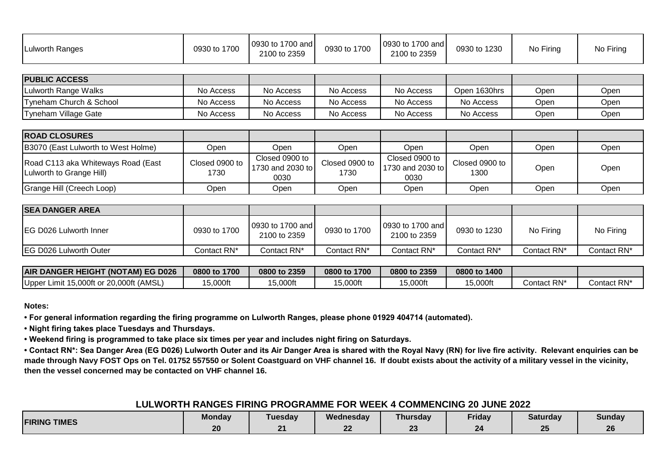| <b>Lulworth Ranges</b> | 0930 to 1700 | 0930 to 1700 and<br>2100 to 2359 | 0930 to 1700 | 0930 to 1700 and<br>2100 to 2359 | 0930 to 1230 | No Firing | No Firing |
|------------------------|--------------|----------------------------------|--------------|----------------------------------|--------------|-----------|-----------|
|                        |              |                                  |              |                                  |              |           |           |
| <b>DUDLIC ACCECC</b>   |              |                                  |              |                                  |              |           |           |

| <b>PUBLIC ACCESS</b>    |           |           |           |           |              |      |      |
|-------------------------|-----------|-----------|-----------|-----------|--------------|------|------|
| Lulworth Range Walks    | No Access | No Access | No Access | No Access | Open 1630hrs | Open | Open |
| Tyneham Church & School | No Access | No Access | No Access | No Access | No Access    | Open | Open |
| Tyneham Village Gate    | No Access | No Access | No Access | No Access | No Access    | Open | Open |

| <b>ROAD CLOSURES</b>                                           |                        |                                            |                        |                                            |                        |      |      |
|----------------------------------------------------------------|------------------------|--------------------------------------------|------------------------|--------------------------------------------|------------------------|------|------|
| B3070 (East Lulworth to West Holme)                            | Jpen                   | Open                                       | Open                   | Open                                       | Open                   | Open | Open |
| Road C113 aka Whiteways Road (East<br>Lulworth to Grange Hill) | Closed 0900 to<br>1730 | Closed 0900 to<br>1730 and 2030 to<br>0030 | Closed 0900 to<br>1730 | Closed 0900 to<br>1730 and 2030 to<br>0030 | Closed 0900 to<br>1300 | Open | Open |
| Grange Hill (Creech Loop)                                      | Open                   | Open                                       | Open                   | Open                                       | Open                   | Open | Open |

| <b>SEA DANGER AREA</b>         |              |                                  |              |                                  |              |             |             |
|--------------------------------|--------------|----------------------------------|--------------|----------------------------------|--------------|-------------|-------------|
| <b>EG D026 Lulworth Inner</b>  | 0930 to 1700 | 0930 to 1700 and<br>2100 to 2359 | 0930 to 1700 | 0930 to 1700 and<br>2100 to 2359 | 0930 to 1230 | No Firing   | No Firing   |
| <b>IEG D026 Lulworth Outer</b> | Contact RN*  | Contact RN*                      | Contact RN*  | Contact RN*                      | Contact RN*  | Contact RN* | Contact RN* |

| <b>AIR DANGER HEIGHT</b><br>(NOTAM) EG D026                     | 1700<br>0800 to | 0800 to 2359 | 0800 to 1700 | 0800 to 2359 | 0800 to 1400 |             |             |
|-----------------------------------------------------------------|-----------------|--------------|--------------|--------------|--------------|-------------|-------------|
| .000ft (AMSL)<br>Upper<br>Limit 15,000ft or<br>$\sim$<br>ZU.UUU | 5,000ft         | 15,000ft     | 5,000ft      | 5,000ft      | 15,000ft     | Contact RN* | Contact RN* |

**• For general information regarding the firing programme on Lulworth Ranges, please phone 01929 404714 (automated).**

**• Night firing takes place Tuesdays and Thursdays.**

**• Weekend firing is programmed to take place six times per year and includes night firing on Saturdays.**

**• Contact RN\*: Sea Danger Area (EG D026) Lulworth Outer and its Air Danger Area is shared with the Royal Navy (RN) for live fire activity. Relevant enquiries can be made through Navy FOST Ops on Tel. 01752 557550 or Solent Coastguard on VHF channel 16. If doubt exists about the activity of a military vessel in the vicinity, then the vessel concerned may be contacted on VHF channel 16.**

### **LULWORTH RANGES FIRING PROGRAMME FOR WEEK 4 COMMENCING 20 JUNE 2022**

| <b>FIRING TIMES</b> | $ -$<br><b>Mondav</b> | <b>Tuesdav</b> | Wednesday | __<br><b>Thursday</b>     | Friday | <b>Saturday</b> | <b>Sunday</b> |
|---------------------|-----------------------|----------------|-----------|---------------------------|--------|-----------------|---------------|
|                     | 20                    | n.<br>- -      | ົ<br>. .  | $\mathbf{A}$<br><u>__</u> | 24     | $\sim$          | $\sim$<br>ZU  |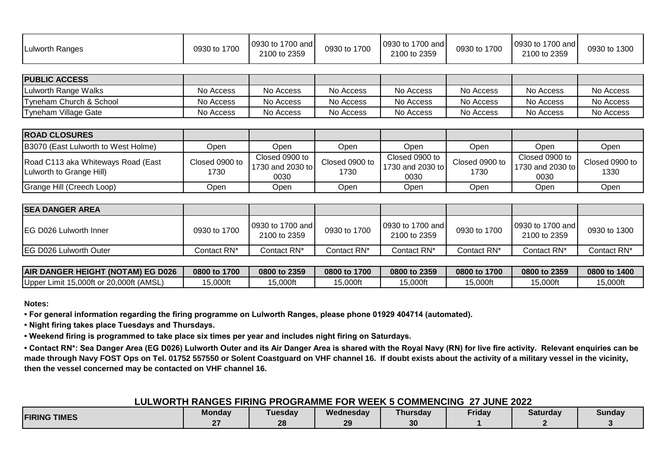| 0930 to 1700 and<br>0930 to 1700 and<br>0930 to 1700 and<br>0930 to 1700<br>0930 to 1700<br>0930 to 1700<br><b>ILulworth Ranges</b><br>2100 to 2359<br>2100 to 2359<br>2100 to 2359 | 0930 to 1300 |
|-------------------------------------------------------------------------------------------------------------------------------------------------------------------------------------|--------------|
|-------------------------------------------------------------------------------------------------------------------------------------------------------------------------------------|--------------|

| <b>PUBLIC ACCESS</b>    |           |           |           |           |           |           |           |
|-------------------------|-----------|-----------|-----------|-----------|-----------|-----------|-----------|
| Lulworth Range Walks    | No Access | No Access | No Access | No Access | No Access | No Access | No Access |
| Tyneham Church & School | No Access | No Access | No Access | No Access | No Access | No Access | No Access |
| Tyneham Village Gate    | No Access | No Access | No Access | No Access | No Access | No Access | No Access |

| <b>IROAD CLOSURES</b>                                          |                        |                                            |                        |                                            |                        |                                            |                        |
|----------------------------------------------------------------|------------------------|--------------------------------------------|------------------------|--------------------------------------------|------------------------|--------------------------------------------|------------------------|
| B3070 (East Lulworth to West Holme)                            | :Dpen                  | Open                                       | Open                   | Open                                       | Open                   | Open                                       | Open                   |
| Road C113 aka Whiteways Road (East<br>Luiworth to Grange Hill) | Closed 0900 to<br>1730 | Closed 0900 to<br>1730 and 2030 to<br>0030 | Closed 0900 to<br>1730 | Closed 0900 to<br>1730 and 2030 to<br>0030 | Closed 0900 to<br>1730 | Closed 0900 to<br>1730 and 2030 to<br>0030 | Closed 0900 to<br>1330 |
| Grange Hill (Creech Loop)                                      | :Dpen                  | Open                                       | Open                   | Open                                       | Open                   | Open                                       | Open                   |

| <b>ISEA DANGER AREA</b>        |              |                                  |              |                                  |              |                                   |              |
|--------------------------------|--------------|----------------------------------|--------------|----------------------------------|--------------|-----------------------------------|--------------|
| <b>IEG D026 Lulworth Inner</b> | 0930 to 1700 | 0930 to 1700 and<br>2100 to 2359 | 0930 to 1700 | 0930 to 1700 and<br>2100 to 2359 | 0930 to 1700 | 10930 to 1700 and<br>2100 to 2359 | 0930 to 1300 |
| <b>IEG D026 Lulworth Outer</b> | Contact RN*  | Contact RN*                      | Contact RN*  | Contact RN*                      | Contact RN*  | Contact RN*                       | Contact RN*  |

| <b>AIR DANGER HEIGHT (NOTAM) EG D026</b>       | 0800 to 1700 | 0800 to 2359 | 0800 to 1700 | 0800 to 2359 | 0800 to 1700 | 0800 to 2359 | 0800 to 1400 |
|------------------------------------------------|--------------|--------------|--------------|--------------|--------------|--------------|--------------|
| r Limit 15,000ft or 20,000ft (AMSL)<br>Upper I | 5,000ft      | 5,000ft      | 5,000ft      | 5,000ft      | 5,000ft      | 5,000ft      | ∣5,000ft     |

**• For general information regarding the firing programme on Lulworth Ranges, please phone 01929 404714 (automated).**

**• Night firing takes place Tuesdays and Thursdays.**

**• Weekend firing is programmed to take place six times per year and includes night firing on Saturdays.**

**• Contact RN\*: Sea Danger Area (EG D026) Lulworth Outer and its Air Danger Area is shared with the Royal Navy (RN) for live fire activity. Relevant enquiries can be made through Navy FOST Ops on Tel. 01752 557550 or Solent Coastguard on VHF channel 16. If doubt exists about the activity of a military vessel in the vicinity, then the vessel concerned may be contacted on VHF channel 16.**

#### **LULWORTH RANGES FIRING PROGRAMME FOR WEEK 5 COMMENCING 27 JUNE 2022**

| <b>FIRING TIMES</b> | <b>Monday</b> | Γuesday  | Wednesday | <b>Thursday</b> | - -<br>Friday | Saturday | Sundav |
|---------------------|---------------|----------|-----------|-----------------|---------------|----------|--------|
|                     |               | 28<br>-- | 20        | 30              |               |          |        |